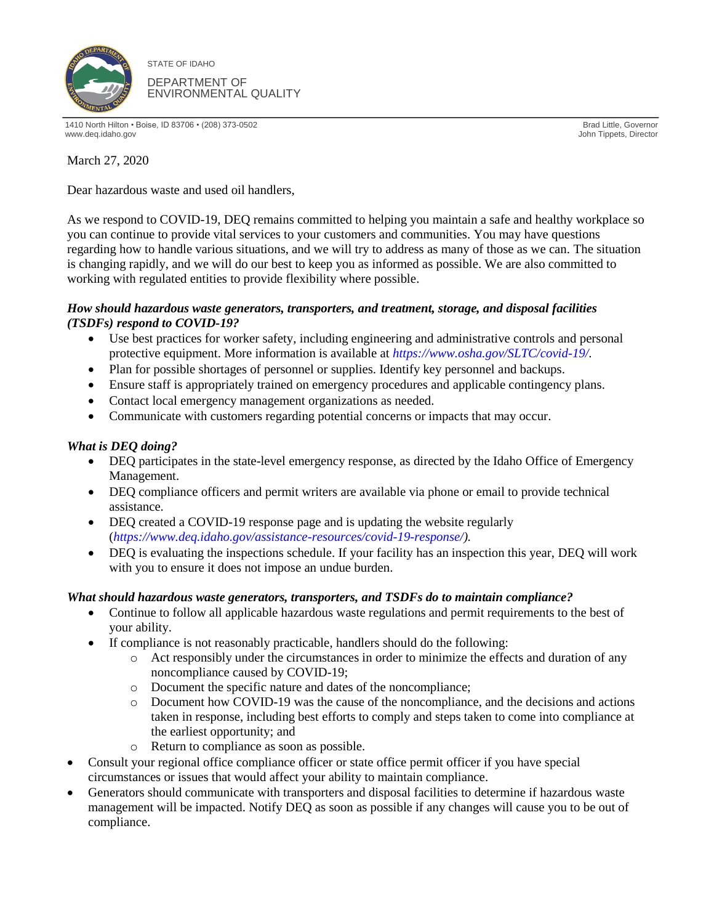

STATE OF IDAHO DEPARTMENT OF ENVIRONMENTAL QUALITY

1410 North Hilton • Boise, ID 83706 • (208) 373-0502 Brad Little, Governor www.deq.idaho.gov John Tippets, Director

March 27, 2020

Dear hazardous waste and used oil handlers,

As we respond to COVID-19, DEQ remains committed to helping you maintain a safe and healthy workplace so you can continue to provide vital services to your customers and communities. You may have questions regarding how to handle various situations, and we will try to address as many of those as we can. The situation is changing rapidly, and we will do our best to keep you as informed as possible. We are also committed to working with regulated entities to provide flexibility where possible.

## *How should hazardous waste generators, transporters, and treatment, storage, and disposal facilities (TSDFs) respond to COVID-19?*

- Use best practices for worker safety, including engineering and administrative controls and personal protective equipment. More information is available at *[https://www.osha.gov/SLTC/covid-19/.](https://www.osha.gov/SLTC/covid-19/)*
- Plan for possible shortages of personnel or supplies. Identify key personnel and backups.
- Ensure staff is appropriately trained on emergency procedures and applicable contingency plans.
- Contact local emergency management organizations as needed.
- Communicate with customers regarding potential concerns or impacts that may occur.

## *What is DEQ doing?*

- DEQ participates in the state-level emergency response, as directed by the Idaho Office of Emergency Management.
- DEQ compliance officers and permit writers are available via phone or email to provide technical assistance.
- DEQ created a COVID-19 response page and is updating the website regularly (*[https://www.deq.idaho.gov/assistance-resources/covid-19-response/\)](https://www.deq.idaho.gov/assistance-resources/covid-19-response/).*
- DEQ is evaluating the inspections schedule. If your facility has an inspection this year, DEQ will work with you to ensure it does not impose an undue burden.

## *What should hazardous waste generators, transporters, and TSDFs do to maintain compliance?*

- Continue to follow all applicable hazardous waste regulations and permit requirements to the best of your ability.
- If compliance is not reasonably practicable, handlers should do the following:
	- o Act responsibly under the circumstances in order to minimize the effects and duration of any noncompliance caused by COVID-19;
	- o Document the specific nature and dates of the noncompliance;
	- o Document how COVID-19 was the cause of the noncompliance, and the decisions and actions taken in response, including best efforts to comply and steps taken to come into compliance at the earliest opportunity; and
	- o Return to compliance as soon as possible.
- Consult your regional office compliance officer or state office permit officer if you have special circumstances or issues that would affect your ability to maintain compliance.
- Generators should communicate with transporters and disposal facilities to determine if hazardous waste management will be impacted. Notify DEQ as soon as possible if any changes will cause you to be out of compliance.